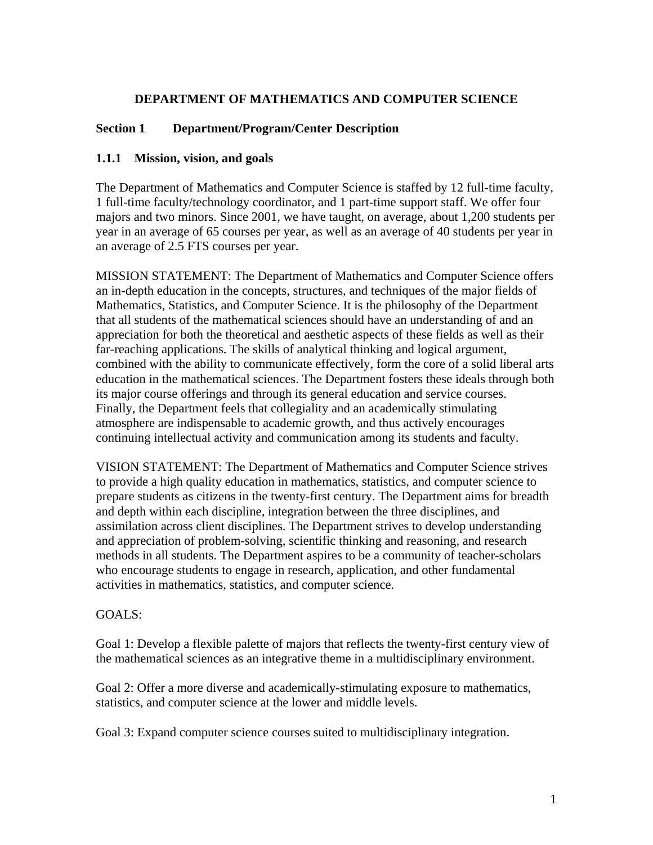### **DEPARTMENT OF MATHEMATICS AND COMPUTER SCIENCE**

# **Section 1 Department/Program/Center Description**

#### **1.1.1 Mission, vision, and goals**

The Department of Mathematics and Computer Science is staffed by 12 full-time faculty, 1 full-time faculty/technology coordinator, and 1 part-time support staff. We offer four majors and two minors. Since 2001, we have taught, on average, about 1,200 students per year in an average of 65 courses per year, as well as an average of 40 students per year in an average of 2.5 FTS courses per year.

MISSION STATEMENT: The Department of Mathematics and Computer Science offers an in-depth education in the concepts, structures, and techniques of the major fields of Mathematics, Statistics, and Computer Science. It is the philosophy of the Department that all students of the mathematical sciences should have an understanding of and an appreciation for both the theoretical and aesthetic aspects of these fields as well as their far-reaching applications. The skills of analytical thinking and logical argument, combined with the ability to communicate effectively, form the core of a solid liberal arts education in the mathematical sciences. The Department fosters these ideals through both its major course offerings and through its general education and service courses. Finally, the Department feels that collegiality and an academically stimulating atmosphere are indispensable to academic growth, and thus actively encourages continuing intellectual activity and communication among its students and faculty.

VISION STATEMENT: The Department of Mathematics and Computer Science strives to provide a high quality education in mathematics, statistics, and computer science to prepare students as citizens in the twenty-first century. The Department aims for breadth and depth within each discipline, integration between the three disciplines, and assimilation across client disciplines. The Department strives to develop understanding and appreciation of problem-solving, scientific thinking and reasoning, and research methods in all students. The Department aspires to be a community of teacher-scholars who encourage students to engage in research, application, and other fundamental activities in mathematics, statistics, and computer science.

#### GOALS:

Goal 1: Develop a flexible palette of majors that reflects the twenty-first century view of the mathematical sciences as an integrative theme in a multidisciplinary environment.

Goal 2: Offer a more diverse and academically-stimulating exposure to mathematics, statistics, and computer science at the lower and middle levels.

Goal 3: Expand computer science courses suited to multidisciplinary integration.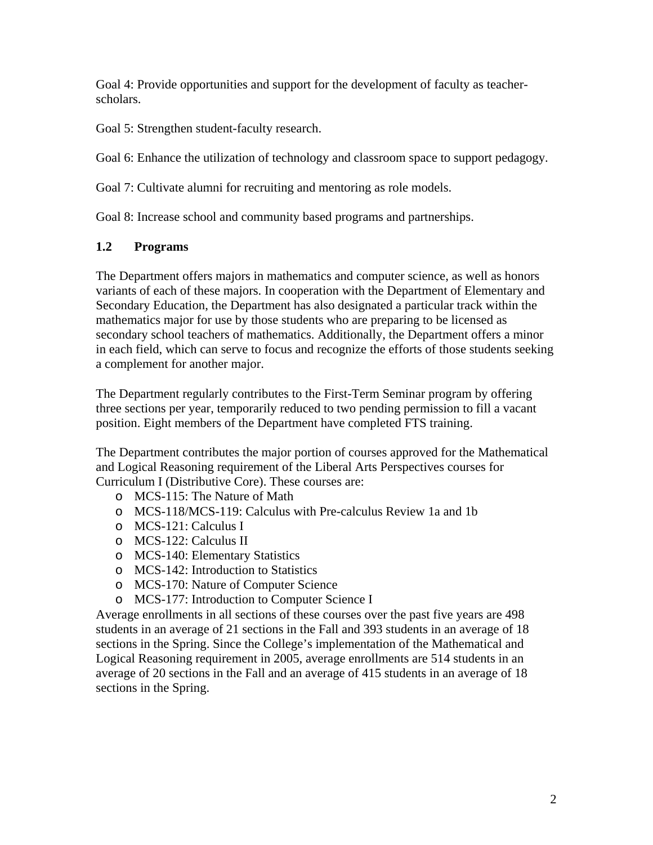Goal 4: Provide opportunities and support for the development of faculty as teacherscholars.

Goal 5: Strengthen student-faculty research.

Goal 6: Enhance the utilization of technology and classroom space to support pedagogy.

Goal 7: Cultivate alumni for recruiting and mentoring as role models.

Goal 8: Increase school and community based programs and partnerships.

# **1.2 Programs**

The Department offers majors in mathematics and computer science, as well as honors variants of each of these majors. In cooperation with the Department of Elementary and Secondary Education, the Department has also designated a particular track within the mathematics major for use by those students who are preparing to be licensed as secondary school teachers of mathematics. Additionally, the Department offers a minor in each field, which can serve to focus and recognize the efforts of those students seeking a complement for another major.

The Department regularly contributes to the First-Term Seminar program by offering three sections per year, temporarily reduced to two pending permission to fill a vacant position. Eight members of the Department have completed FTS training.

The Department contributes the major portion of courses approved for the Mathematical and Logical Reasoning requirement of the Liberal Arts Perspectives courses for Curriculum I (Distributive Core). These courses are:

- o MCS-115: The Nature of Math
- o MCS-118/MCS-119: Calculus with Pre-calculus Review 1a and 1b
- o MCS-121: Calculus I
- o MCS-122: Calculus II
- o MCS-140: Elementary Statistics
- o MCS-142: Introduction to Statistics
- o MCS-170: Nature of Computer Science
- o MCS-177: Introduction to Computer Science I

Average enrollments in all sections of these courses over the past five years are 498 students in an average of 21 sections in the Fall and 393 students in an average of 18 sections in the Spring. Since the College's implementation of the Mathematical and Logical Reasoning requirement in 2005, average enrollments are 514 students in an average of 20 sections in the Fall and an average of 415 students in an average of 18 sections in the Spring.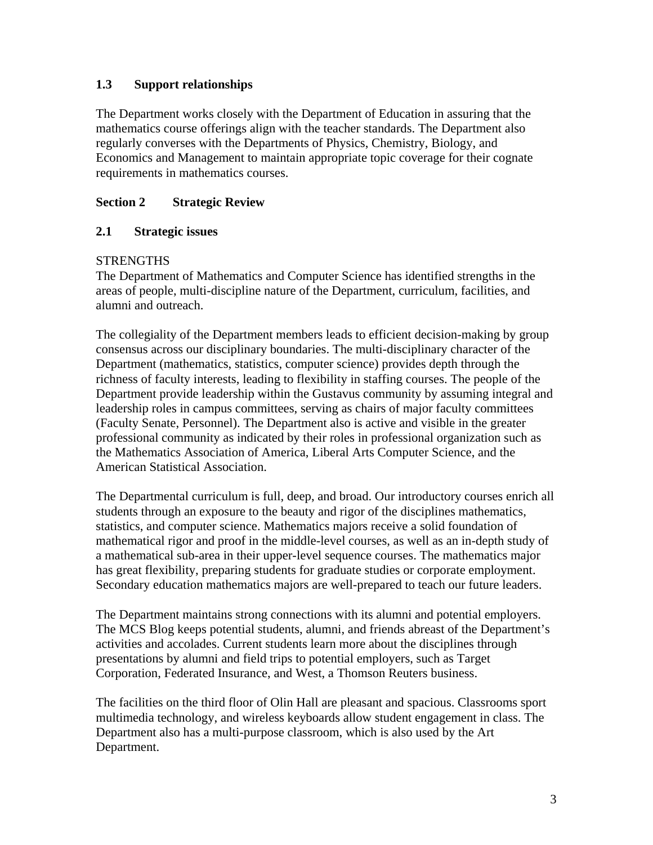# **1.3 Support relationships**

The Department works closely with the Department of Education in assuring that the mathematics course offerings align with the teacher standards. The Department also regularly converses with the Departments of Physics, Chemistry, Biology, and Economics and Management to maintain appropriate topic coverage for their cognate requirements in mathematics courses.

# **Section 2 Strategic Review**

# **2.1 Strategic issues**

#### **STRENGTHS**

The Department of Mathematics and Computer Science has identified strengths in the areas of people, multi-discipline nature of the Department, curriculum, facilities, and alumni and outreach.

The collegiality of the Department members leads to efficient decision-making by group consensus across our disciplinary boundaries. The multi-disciplinary character of the Department (mathematics, statistics, computer science) provides depth through the richness of faculty interests, leading to flexibility in staffing courses. The people of the Department provide leadership within the Gustavus community by assuming integral and leadership roles in campus committees, serving as chairs of major faculty committees (Faculty Senate, Personnel). The Department also is active and visible in the greater professional community as indicated by their roles in professional organization such as the Mathematics Association of America, Liberal Arts Computer Science, and the American Statistical Association.

The Departmental curriculum is full, deep, and broad. Our introductory courses enrich all students through an exposure to the beauty and rigor of the disciplines mathematics, statistics, and computer science. Mathematics majors receive a solid foundation of mathematical rigor and proof in the middle-level courses, as well as an in-depth study of a mathematical sub-area in their upper-level sequence courses. The mathematics major has great flexibility, preparing students for graduate studies or corporate employment. Secondary education mathematics majors are well-prepared to teach our future leaders.

The Department maintains strong connections with its alumni and potential employers. The MCS Blog keeps potential students, alumni, and friends abreast of the Department's activities and accolades. Current students learn more about the disciplines through presentations by alumni and field trips to potential employers, such as Target Corporation, Federated Insurance, and West, a Thomson Reuters business.

The facilities on the third floor of Olin Hall are pleasant and spacious. Classrooms sport multimedia technology, and wireless keyboards allow student engagement in class. The Department also has a multi-purpose classroom, which is also used by the Art Department.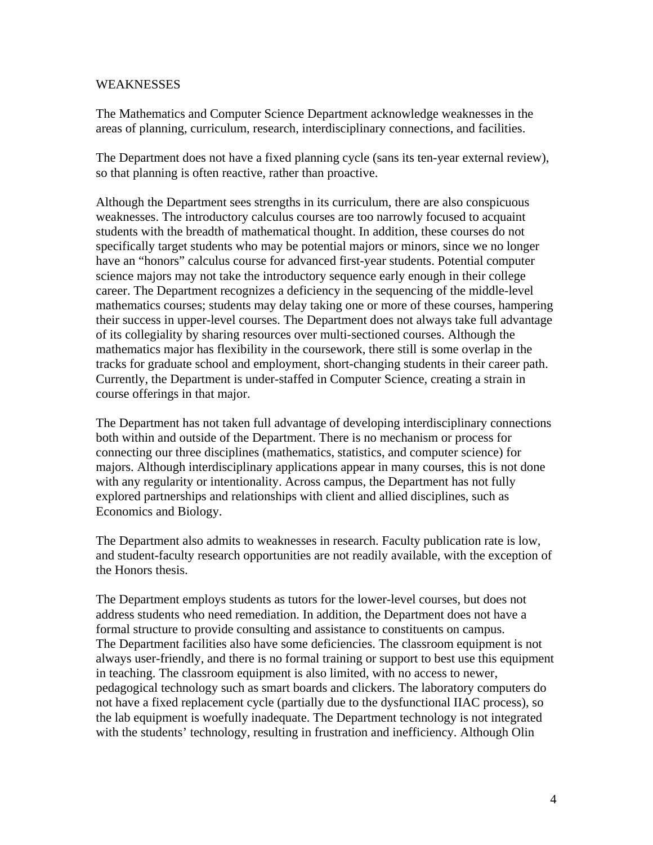#### WEAKNESSES

The Mathematics and Computer Science Department acknowledge weaknesses in the areas of planning, curriculum, research, interdisciplinary connections, and facilities.

The Department does not have a fixed planning cycle (sans its ten-year external review), so that planning is often reactive, rather than proactive.

Although the Department sees strengths in its curriculum, there are also conspicuous weaknesses. The introductory calculus courses are too narrowly focused to acquaint students with the breadth of mathematical thought. In addition, these courses do not specifically target students who may be potential majors or minors, since we no longer have an "honors" calculus course for advanced first-year students. Potential computer science majors may not take the introductory sequence early enough in their college career. The Department recognizes a deficiency in the sequencing of the middle-level mathematics courses; students may delay taking one or more of these courses, hampering their success in upper-level courses. The Department does not always take full advantage of its collegiality by sharing resources over multi-sectioned courses. Although the mathematics major has flexibility in the coursework, there still is some overlap in the tracks for graduate school and employment, short-changing students in their career path. Currently, the Department is under-staffed in Computer Science, creating a strain in course offerings in that major.

The Department has not taken full advantage of developing interdisciplinary connections both within and outside of the Department. There is no mechanism or process for connecting our three disciplines (mathematics, statistics, and computer science) for majors. Although interdisciplinary applications appear in many courses, this is not done with any regularity or intentionality. Across campus, the Department has not fully explored partnerships and relationships with client and allied disciplines, such as Economics and Biology.

The Department also admits to weaknesses in research. Faculty publication rate is low, and student-faculty research opportunities are not readily available, with the exception of the Honors thesis.

The Department employs students as tutors for the lower-level courses, but does not address students who need remediation. In addition, the Department does not have a formal structure to provide consulting and assistance to constituents on campus. The Department facilities also have some deficiencies. The classroom equipment is not always user-friendly, and there is no formal training or support to best use this equipment in teaching. The classroom equipment is also limited, with no access to newer, pedagogical technology such as smart boards and clickers. The laboratory computers do not have a fixed replacement cycle (partially due to the dysfunctional IIAC process), so the lab equipment is woefully inadequate. The Department technology is not integrated with the students' technology, resulting in frustration and inefficiency. Although Olin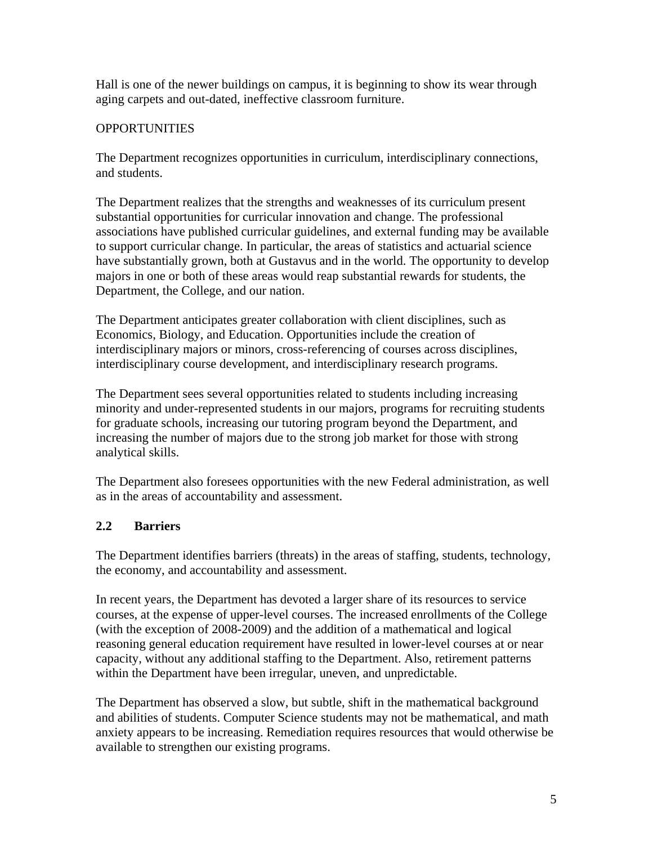Hall is one of the newer buildings on campus, it is beginning to show its wear through aging carpets and out-dated, ineffective classroom furniture.

# **OPPORTUNITIES**

The Department recognizes opportunities in curriculum, interdisciplinary connections, and students.

The Department realizes that the strengths and weaknesses of its curriculum present substantial opportunities for curricular innovation and change. The professional associations have published curricular guidelines, and external funding may be available to support curricular change. In particular, the areas of statistics and actuarial science have substantially grown, both at Gustavus and in the world. The opportunity to develop majors in one or both of these areas would reap substantial rewards for students, the Department, the College, and our nation.

The Department anticipates greater collaboration with client disciplines, such as Economics, Biology, and Education. Opportunities include the creation of interdisciplinary majors or minors, cross-referencing of courses across disciplines, interdisciplinary course development, and interdisciplinary research programs.

The Department sees several opportunities related to students including increasing minority and under-represented students in our majors, programs for recruiting students for graduate schools, increasing our tutoring program beyond the Department, and increasing the number of majors due to the strong job market for those with strong analytical skills.

The Department also foresees opportunities with the new Federal administration, as well as in the areas of accountability and assessment.

# **2.2 Barriers**

The Department identifies barriers (threats) in the areas of staffing, students, technology, the economy, and accountability and assessment.

In recent years, the Department has devoted a larger share of its resources to service courses, at the expense of upper-level courses. The increased enrollments of the College (with the exception of 2008-2009) and the addition of a mathematical and logical reasoning general education requirement have resulted in lower-level courses at or near capacity, without any additional staffing to the Department. Also, retirement patterns within the Department have been irregular, uneven, and unpredictable.

The Department has observed a slow, but subtle, shift in the mathematical background and abilities of students. Computer Science students may not be mathematical, and math anxiety appears to be increasing. Remediation requires resources that would otherwise be available to strengthen our existing programs.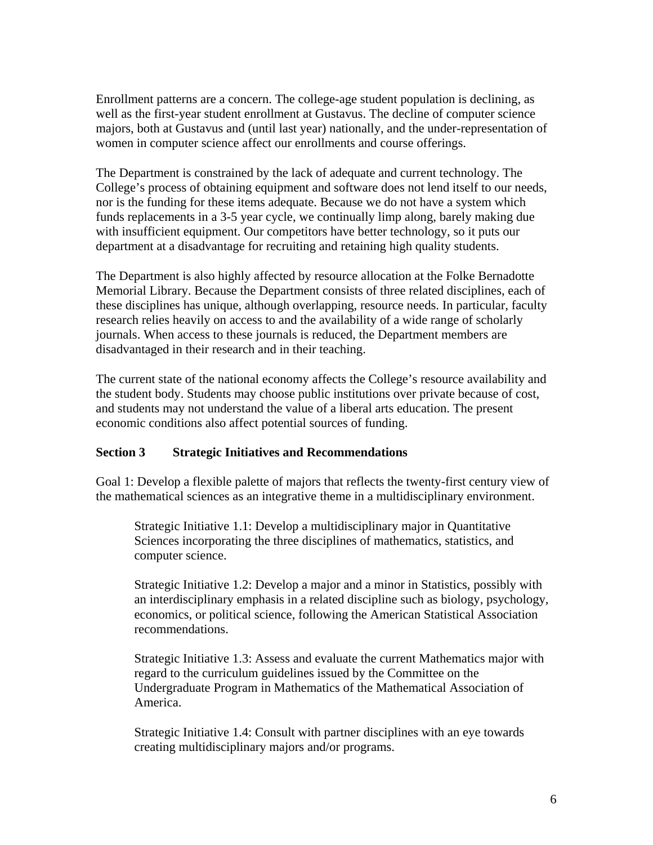Enrollment patterns are a concern. The college-age student population is declining, as well as the first-year student enrollment at Gustavus. The decline of computer science majors, both at Gustavus and (until last year) nationally, and the under-representation of women in computer science affect our enrollments and course offerings.

The Department is constrained by the lack of adequate and current technology. The College's process of obtaining equipment and software does not lend itself to our needs, nor is the funding for these items adequate. Because we do not have a system which funds replacements in a 3-5 year cycle, we continually limp along, barely making due with insufficient equipment. Our competitors have better technology, so it puts our department at a disadvantage for recruiting and retaining high quality students.

The Department is also highly affected by resource allocation at the Folke Bernadotte Memorial Library. Because the Department consists of three related disciplines, each of these disciplines has unique, although overlapping, resource needs. In particular, faculty research relies heavily on access to and the availability of a wide range of scholarly journals. When access to these journals is reduced, the Department members are disadvantaged in their research and in their teaching.

The current state of the national economy affects the College's resource availability and the student body. Students may choose public institutions over private because of cost, and students may not understand the value of a liberal arts education. The present economic conditions also affect potential sources of funding.

#### **Section 3 Strategic Initiatives and Recommendations**

Goal 1: Develop a flexible palette of majors that reflects the twenty-first century view of the mathematical sciences as an integrative theme in a multidisciplinary environment.

Strategic Initiative 1.1: Develop a multidisciplinary major in Quantitative Sciences incorporating the three disciplines of mathematics, statistics, and computer science.

Strategic Initiative 1.2: Develop a major and a minor in Statistics, possibly with an interdisciplinary emphasis in a related discipline such as biology, psychology, economics, or political science, following the American Statistical Association recommendations.

Strategic Initiative 1.3: Assess and evaluate the current Mathematics major with regard to the curriculum guidelines issued by the Committee on the Undergraduate Program in Mathematics of the Mathematical Association of America.

Strategic Initiative 1.4: Consult with partner disciplines with an eye towards creating multidisciplinary majors and/or programs.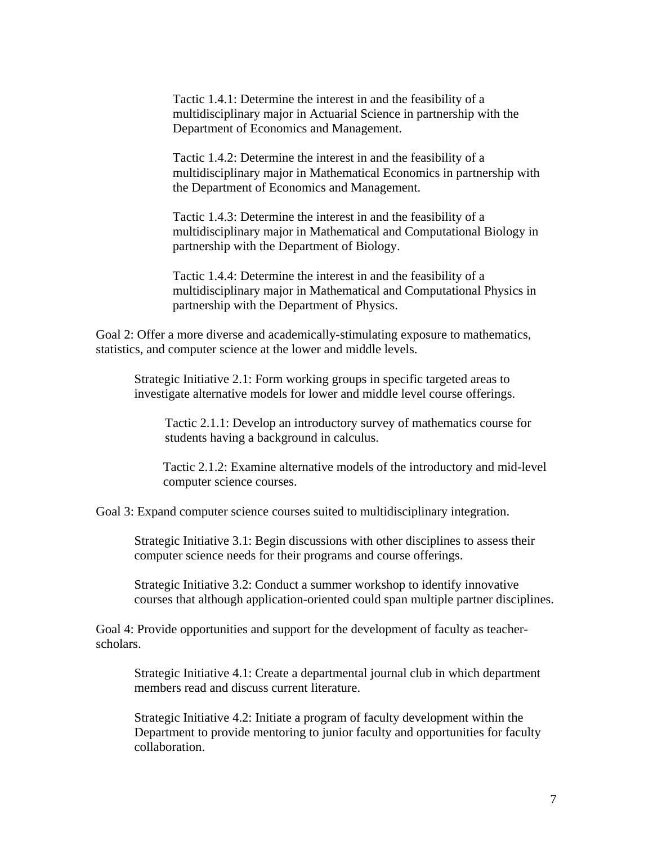Tactic 1.4.1: Determine the interest in and the feasibility of a multidisciplinary major in Actuarial Science in partnership with the Department of Economics and Management.

 Tactic 1.4.2: Determine the interest in and the feasibility of a multidisciplinary major in Mathematical Economics in partnership with the Department of Economics and Management.

Tactic 1.4.3: Determine the interest in and the feasibility of a multidisciplinary major in Mathematical and Computational Biology in partnership with the Department of Biology.

Tactic 1.4.4: Determine the interest in and the feasibility of a multidisciplinary major in Mathematical and Computational Physics in partnership with the Department of Physics.

Goal 2: Offer a more diverse and academically-stimulating exposure to mathematics, statistics, and computer science at the lower and middle levels.

 Strategic Initiative 2.1: Form working groups in specific targeted areas to investigate alternative models for lower and middle level course offerings.

 Tactic 2.1.1: Develop an introductory survey of mathematics course for students having a background in calculus.

Tactic 2.1.2: Examine alternative models of the introductory and mid-level computer science courses.

Goal 3: Expand computer science courses suited to multidisciplinary integration.

 Strategic Initiative 3.1: Begin discussions with other disciplines to assess their computer science needs for their programs and course offerings.

Strategic Initiative 3.2: Conduct a summer workshop to identify innovative courses that although application-oriented could span multiple partner disciplines.

Goal 4: Provide opportunities and support for the development of faculty as teacherscholars.

 Strategic Initiative 4.1: Create a departmental journal club in which department members read and discuss current literature.

Strategic Initiative 4.2: Initiate a program of faculty development within the Department to provide mentoring to junior faculty and opportunities for faculty collaboration.